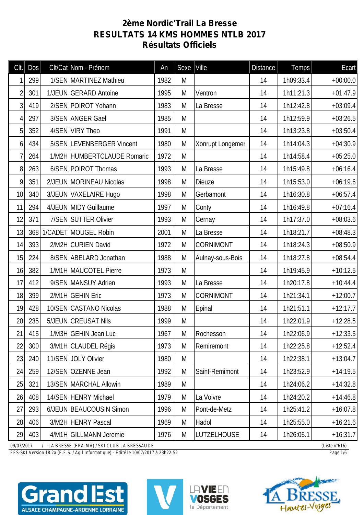## **2ème Nordic'Trail La Bresse RESULTATS 14 KMS HOMMES NTLB 2017 Résultats Officiels**

| Clt.                                                                                  | Dos |  | Clt/Cat Nom - Prénom        | An   | Sexe | $ $ Ville        | <b>Distance</b> | Temps     | Ecart      |
|---------------------------------------------------------------------------------------|-----|--|-----------------------------|------|------|------------------|-----------------|-----------|------------|
|                                                                                       | 299 |  | 1/SEN MARTINEZ Mathieu      | 1982 | M    |                  | 14              | 1h09:33.4 | $+00:00.0$ |
| $\overline{2}$                                                                        | 301 |  | 1/JEUN GERARD Antoine       | 1995 | M    | Ventron          | 14              | 1h11:21.3 | $+01:47.9$ |
| 3                                                                                     | 419 |  | 2/SEN POIROT Yohann         | 1983 | M    | La Bresse        | 14              | 1h12:42.8 | $+03:09.4$ |
| 4                                                                                     | 297 |  | 3/SEN ANGER Gael            | 1985 | M    |                  | 14              | 1h12:59.9 | $+03:26.5$ |
| 5                                                                                     | 352 |  | 4/SEN VIRY Theo             | 1991 | M    |                  | 14              | 1h13:23.8 | $+03:50.4$ |
| 6                                                                                     | 434 |  | 5/SEN LEVENBERGER Vincent   | 1980 | M    | Xonrupt Longemer | 14              | 1h14:04.3 | $+04:30.9$ |
| 7                                                                                     | 264 |  | 1/M2H HUMBERTCLAUDE Romaric | 1972 | M    |                  | 14              | 1h14:58.4 | $+05:25.0$ |
| 8                                                                                     | 263 |  | 6/SEN POIROT Thomas         | 1993 | M    | La Bresse        | 14              | 1h15:49.8 | $+06:16.4$ |
| 9                                                                                     | 351 |  | 2/JEUN MORINEAU Nicolas     | 1998 | M    | <b>Dieuze</b>    | 14              | 1h15:53.0 | $+06:19.6$ |
| 10                                                                                    | 340 |  | 3/JEUN VAXELAIRE Hugo       | 1998 | M    | Gerbamont        | 14              | 1h16:30.8 | $+06:57.4$ |
| 11                                                                                    | 294 |  | 4/JEUN MIDY Guillaume       | 1997 | M    | Conty            | 14              | 1h16:49.8 | $+07:16.4$ |
| 12                                                                                    | 371 |  | 7/SEN SUTTER Olivier        | 1993 | M    | Cernay           | 14              | 1h17:37.0 | $+08:03.6$ |
| 13                                                                                    |     |  | 368 1/CADET MOUGEL Robin    | 2001 | M    | La Bresse        | 14              | 1h18:21.7 | $+08:48.3$ |
| 14                                                                                    | 393 |  | 2/M2H CURIEN David          | 1972 | M    | <b>CORNIMONT</b> | 14              | 1h18:24.3 | $+08:50.9$ |
| 15                                                                                    | 224 |  | 8/SEN ABELARD Jonathan      | 1988 | M    | Aulnay-sous-Bois | 14              | 1h18:27.8 | $+08:54.4$ |
| 16                                                                                    | 382 |  | 1/M1H MAUCOTEL Pierre       | 1973 | M    |                  | 14              | 1h19:45.9 | $+10:12.5$ |
| 17                                                                                    | 412 |  | 9/SEN MANSUY Adrien         | 1993 | M    | La Bresse        | 14              | 1h20:17.8 | $+10:44.4$ |
| 18                                                                                    | 399 |  | 2/M1H GEHIN Eric            | 1973 | M    | <b>CORNIMONT</b> | 14              | 1h21:34.1 | $+12:00.7$ |
| 19                                                                                    | 428 |  | 10/SEN CASTANO Nicolas      | 1988 | M    | Epinal           | 14              | 1h21:51.1 | $+12:17.7$ |
| 20                                                                                    | 235 |  | 5/JEUN CREUSAT Nils         | 1999 | M    |                  | 14              | 1h22:01.9 | $+12:28.5$ |
| 21                                                                                    | 415 |  | 1/M3H GEHIN Jean Luc        | 1967 | M    | Rochesson        | 14              | 1h22:06.9 | $+12:33.5$ |
| 22                                                                                    | 300 |  | 3/M1H CLAUDEL Régis         | 1973 | M    | Remiremont       | 14              | 1h22:25.8 | $+12:52.4$ |
| 23                                                                                    | 240 |  | 11/SEN JOLY Olivier         | 1980 | M    |                  | 14              | 1h22:38.1 | $+13:04.7$ |
| 24                                                                                    | 259 |  | 12/SEN OZENNE Jean          | 1992 | M    | Saint-Remimont   | 14              | 1h23:52.9 | $+14:19.5$ |
| 25                                                                                    | 321 |  | 13/SEN MARCHAL Allowin      | 1989 | M    |                  | 14              | 1h24:06.2 | $+14:32.8$ |
| 26                                                                                    | 408 |  | 14/SEN HENRY Michael        | 1979 | M    | La Voivre        | 14              | 1h24:20.2 | $+14:46.8$ |
| 27                                                                                    | 293 |  | 6/JEUN BEAUCOUSIN Simon     | 1996 | M    | Pont-de-Metz     | 14              | 1h25:41.2 | $+16:07.8$ |
| 28                                                                                    | 406 |  | 3/M2H HENRY Pascal          | 1969 | M    | Hadol            | 14              | 1h25:55.0 | $+16:21.6$ |
| 29                                                                                    | 403 |  | 4/M1H GILLMANN Jeremie      | 1976 | M    | LUTZELHOUSE      | 14              | 1h26:05.1 | $+16:31.7$ |
| 09/07/2017<br>/ LA BRESSE (FRA-MV) / SKI CLUB LA BRESSAUDE<br>(Liste $n^{\circ}616$ ) |     |  |                             |      |      |                  |                 |           |            |

*FFS-SKI Version 18.2a (F.F.S. / Agil Informatique) - Edité le 10/07/2017 à 23h22:52 Page 1/6*







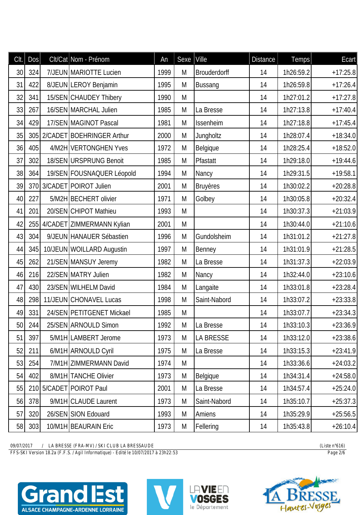| CIt. | DOS | Clt/Cat Nom - Prénom          | An   | Sexe | Ville           | <b>Distance</b> | Temps     | Ecart      |
|------|-----|-------------------------------|------|------|-----------------|-----------------|-----------|------------|
| 30   | 324 | 7/JEUN MARIOTTE Lucien        | 1999 | M    | Brouderdorff    | 14              | 1h26:59.2 | $+17:25.8$ |
| 31   | 422 | 8/JEUN LEROY Benjamin         | 1995 | M    | <b>Bussang</b>  | 14              | 1h26:59.8 | $+17:26.4$ |
| 32   | 341 | 15/SEN CHAUDEY Thibery        | 1990 | M    |                 | 14              | 1h27:01.2 | $+17:27.8$ |
| 33   | 267 | 16/SEN MARCHAL Julien         | 1985 | M    | La Bresse       | 14              | 1h27:13.8 | $+17:40.4$ |
| 34   | 429 | 17/SEN MAGINOT Pascal         | 1981 | M    | Issenheim       | 14              | 1h27:18.8 | $+17:45.4$ |
| 35   | 305 | 2/CADET BOEHRINGER Arthur     | 2000 | M    | Jungholtz       | 14              | 1h28:07.4 | $+18:34.0$ |
| 36   | 405 | 4/M2H VERTONGHEN Yves         | 1972 | M    | Belgique        | 14              | 1h28:25.4 | $+18:52.0$ |
| 37   | 302 | 18/SEN URSPRUNG Benoit        | 1985 | M    | Pfastatt        | 14              | 1h29:18.0 | $+19:44.6$ |
| 38   | 364 | 19/SEN FOUSNAQUER Léopold     | 1994 | M    | Nancy           | 14              | 1h29:31.5 | $+19:58.1$ |
| 39   |     | 370 3/CADET POIROT Julien     | 2001 | M    | <b>Bruyères</b> | 14              | 1h30:02.2 | $+20:28.8$ |
| 40   | 227 | 5/M2H BECHERT olivier         | 1971 | M    | Golbey          | 14              | 1h30:05.8 | $+20:32.4$ |
| 41   | 201 | 20/SEN CHIPOT Mathieu         | 1993 | M    |                 | 14              | 1h30:37.3 | $+21:03.9$ |
| 42   |     | 255 4/CADET ZIMMERMANN Kylian | 2001 | M    |                 | 14              | 1h30:44.0 | $+21:10.6$ |
| 43   | 304 | 9/JEUN HANAUER Sébastien      | 1996 | M    | Gundolsheim     | 14              | 1h31:01.2 | $+21:27.8$ |
| 44   | 345 | 10/JEUN WOILLARD Augustin     | 1997 | M    | Benney          | 14              | 1h31:01.9 | $+21:28.5$ |
| 45   | 262 | 21/SEN MANSUY Jeremy          | 1982 | M    | La Bresse       | 14              | 1h31:37.3 | $+22:03.9$ |
| 46   | 216 | 22/SEN MATRY Julien           | 1982 | M    | Nancy           | 14              | 1h32:44.0 | $+23:10.6$ |
| 47   | 430 | 23/SEN WILHELM David          | 1984 | M    | Langaite        | 14              | 1h33:01.8 | $+23:28.4$ |
| 48   | 298 | 11/JEUN CHONAVEL Lucas        | 1998 | M    | Saint-Nabord    | 14              | 1h33:07.2 | $+23:33.8$ |
| 49   | 331 | 24/SEN PETITGENET Mickael     | 1985 | M    |                 | 14              | 1h33:07.7 | $+23:34.3$ |
| 50   | 244 | 25/SEN ARNOULD Simon          | 1992 | M    | La Bresse       | 14              | 1h33:10.3 | $+23:36.9$ |
| 51   | 397 | 5/M1H LAMBERT Jerome          | 1973 | M    | LA BRESSE       | 14              | 1h33:12.0 | $+23:38.6$ |
| 52   | 211 | 6/M1H ARNOULD Cyril           | 1975 | M    | La Bresse       | 14              | 1h33:15.3 | $+23:41.9$ |
| 53   | 254 | 7/M1H ZIMMERMANN David        | 1974 | M    |                 | 14              | 1h33:36.6 | $+24:03.2$ |
| 54   | 402 | 8/M1H TANCHE Olivier          | 1973 | M    | Belgique        | 14              | 1h34:31.4 | $+24:58.0$ |
| 55   |     | 210 5/CADET POIROT Paul       | 2001 | M    | La Bresse       | 14              | 1h34:57.4 | $+25:24.0$ |
| 56   | 378 | 9/M1H CLAUDE Laurent          | 1973 | M    | Saint-Nabord    | 14              | 1h35:10.7 | $+25:37.3$ |
| 57   | 320 | 26/SEN SION Edouard           | 1993 | M    | Amiens          | 14              | 1h35:29.9 | $+25:56.5$ |
| 58   | 303 | 10/M1H BEAURAIN Eric          | 1973 | M    | Fellering       | 14              | 1h35:43.8 | $+26:10.4$ |

*FFS-SKI Version 18.2a (F.F.S. / Agil Informatique) - Edité le 10/07/2017 à 23h22:53 Page 2/6*







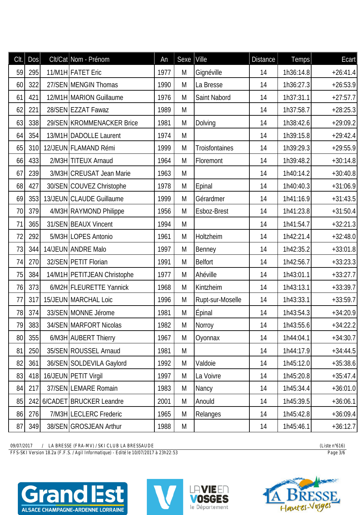| CIt. | DOS | Clt/Cat Nom - Prénom        | An   | Sexe | Ville            | <b>Distance</b> | Temps     | Ecart      |
|------|-----|-----------------------------|------|------|------------------|-----------------|-----------|------------|
| 59   | 295 | 11/M1H FATET Eric           | 1977 | M    | Gignéville       | 14              | 1h36:14.8 | $+26:41.4$ |
| 60   | 322 | 27/SEN MENGIN Thomas        | 1990 | M    | La Bresse        | 14              | 1h36:27.3 | $+26:53.9$ |
| 61   | 421 | 12/M1H MARION Guillaume     | 1976 | M    | Saint Nabord     | 14              | 1h37:31.1 | $+27:57.7$ |
| 62   | 221 | 28/SEN EZZAT Fawaz          | 1989 | M    |                  | 14              | 1h37:58.7 | $+28:25.3$ |
| 63   | 338 | 29/SEN KROMMENACKER Brice   | 1981 | M    | Dolving          | 14              | 1h38:42.6 | $+29:09.2$ |
| 64   | 354 | 13/M1H DADOLLE Laurent      | 1974 | M    |                  | 14              | 1h39:15.8 | $+29:42.4$ |
| 65   | 310 | 12/JEUN FLAMAND Rémi        | 1999 | M    | Troisfontaines   | 14              | 1h39:29.3 | $+29:55.9$ |
| 66   | 433 | 2/M3H TITEUX Arnaud         | 1964 | M    | Floremont        | 14              | 1h39:48.2 | $+30:14.8$ |
| 67   | 239 | 3/M3H CREUSAT Jean Marie    | 1963 | M    |                  | 14              | 1h40:14.2 | $+30:40.8$ |
| 68   | 427 | 30/SEN COUVEZ Christophe    | 1978 | M    | Epinal           | 14              | 1h40:40.3 | $+31:06.9$ |
| 69   | 353 | 13/JEUN CLAUDE Guillaume    | 1999 | M    | Gérardmer        | 14              | 1h41:16.9 | $+31:43.5$ |
| 70   | 379 | 4/M3H RAYMOND Philippe      | 1956 | M    | Esboz-Brest      | 14              | 1h41:23.8 | $+31:50.4$ |
| 71   | 365 | 31/SEN BEAUX Vincent        | 1994 | M    |                  | 14              | 1h41:54.7 | $+32:21.3$ |
| 72   | 292 | 5/M3H LOPES Antonio         | 1961 | M    | Holtzheim        | 14              | 1h42:21.4 | $+32:48.0$ |
| 73   | 344 | 14/JEUN ANDRE Malo          | 1997 | M    | Benney           | 14              | 1h42:35.2 | $+33:01.8$ |
| 74   | 270 | 32/SEN PETIT Florian        | 1991 | M    | <b>Belfort</b>   | 14              | 1h42:56.7 | $+33:23.3$ |
| 75   | 384 | 14/M1H PETITJEAN Christophe | 1977 | M    | Ahéville         | 14              | 1h43:01.1 | $+33:27.7$ |
| 76   | 373 | 6/M2H FLEURETTE Yannick     | 1968 | M    | Kintzheim        | 14              | 1h43:13.1 | $+33:39.7$ |
| 77   | 317 | 15/JEUN MARCHAL Loic        | 1996 | M    | Rupt-sur-Moselle | 14              | 1h43:33.1 | $+33:59.7$ |
| 78   | 374 | 33/SEN MONNE Jérome         | 1981 | M    | Epinal           | 14              | 1h43:54.3 | $+34:20.9$ |
| 79   | 383 | 34/SEN MARFORT Nicolas      | 1982 | M    | Norroy           | 14              | 1h43:55.6 | $+34:22.2$ |
| 80   | 355 | 6/M3H AUBERT Thierry        | 1967 | M    | Oyonnax          | 14              | 1h44:04.1 | $+34:30.7$ |
| 81   | 250 | 35/SEN ROUSSEL Arnaud       | 1981 | M    |                  | 14              | 1h44:17.9 | $+34:44.5$ |
| 82   | 361 | 36/SEN SOLDEVILA Gaylord    | 1992 | M    | Valdoie          | 14              | 1h45:12.0 | $+35:38.6$ |
| 83   | 418 | 16/JEUN PETIT Virgil        | 1997 | M    | La Voivre        | 14              | 1h45:20.8 | $+35:47.4$ |
| 84   | 217 | 37/SEN LEMARE Romain        | 1983 | M    | Nancy            | 14              | 1h45:34.4 | $+36:01.0$ |
| 85   | 242 | 6/CADET BRUCKER Leandre     | 2001 | M    | Anould           | 14              | 1h45:39.5 | $+36:06.1$ |
| 86   | 276 | 7/M3H LECLERC Frederic      | 1965 | M    | Relanges         | 14              | 1h45:42.8 | $+36:09.4$ |
| 87   | 349 | 38/SEN GROSJEAN Arthur      | 1988 | M    |                  | 14              | 1h45:46.1 | $+36:12.7$ |

*FFS-SKI Version 18.2a (F.F.S. / Agil Informatique) - Edité le 10/07/2017 à 23h22:53 Page 3/6*







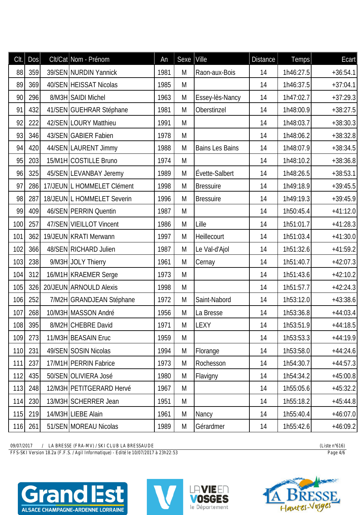| CIt. | DOS | Clt/Cat Nom - Prénom       | An   | Sexe Ville |                        | <b>Distance</b> | Temps     | Ecart      |
|------|-----|----------------------------|------|------------|------------------------|-----------------|-----------|------------|
| 88   | 359 | 39/SEN NURDIN Yannick      | 1981 | M          | Raon-aux-Bois          | 14              | 1h46:27.5 | $+36:54.1$ |
| 89   | 369 | 40/SEN HEISSAT Nicolas     | 1985 | M          |                        | 14              | 1h46:37.5 | $+37:04.1$ |
| 90   | 296 | 8/M3H SAIDI Michel         | 1963 | M          | Essey-lès-Nancy        | 14              | 1h47:02.7 | $+37:29.3$ |
| 91   | 432 | 41/SEN GUEHRAR Stéphane    | 1981 | M          | Oberstinzel            | 14              | 1h48:00.9 | $+38:27.5$ |
| 92   | 222 | 42/SEN LOURY Matthieu      | 1991 | M          |                        | 14              | 1h48:03.7 | $+38:30.3$ |
| 93   | 346 | 43/SEN GABIER Fabien       | 1978 | M          |                        | 14              | 1h48:06.2 | $+38:32.8$ |
| 94   | 420 | 44/SEN LAURENT Jimmy       | 1988 | M          | <b>Bains Les Bains</b> | 14              | 1h48:07.9 | $+38:34.5$ |
| 95   | 203 | 15/M1H COSTILLE Bruno      | 1974 | M          |                        | 14              | 1h48:10.2 | $+38:36.8$ |
| 96   | 325 | 45/SEN LEVANBAY Jeremy     | 1989 | M          | Évette-Salbert         | 14              | 1h48:26.5 | $+38:53.1$ |
| 97   | 286 | 17/JEUN L HOMMELET Clément | 1998 | M          | <b>Bressuire</b>       | 14              | 1h49:18.9 | $+39:45.5$ |
| 98   | 287 | 18/JEUN L HOMMELET Severin | 1996 | M          | <b>Bressuire</b>       | 14              | 1h49:19.3 | $+39:45.9$ |
| 99   | 409 | 46/SEN PERRIN Quentin      | 1987 | M          |                        | 14              | 1h50:45.4 | $+41:12.0$ |
| 100  | 257 | 47/SEN VIEILLOT Vincent    | 1986 | M          | Lille                  | 14              | 1h51:01.7 | $+41:28.3$ |
| 101  | 362 | 19/JEUN KRATI Merwann      | 1997 | M          | Heillecourt            | 14              | 1h51:03.4 | $+41:30.0$ |
| 102  | 366 | 48/SEN RICHARD Julien      | 1987 | M          | Le Val-d'Ajol          | 14              | 1h51:32.6 | $+41:59.2$ |
| 103  | 238 | 9/M3H JOLY Thierry         | 1961 | M          | Cernay                 | 14              | 1h51:40.7 | $+42:07.3$ |
| 104  | 312 | 16/M1H KRAEMER Serge       | 1973 | M          |                        | 14              | 1h51:43.6 | $+42:10.2$ |
| 105  | 326 | 20/JEUN ARNOULD Alexis     | 1998 | M          |                        | 14              | 1h51:57.7 | $+42:24.3$ |
| 106  | 252 | 7/M2H GRANDJEAN Stéphane   | 1972 | M          | Saint-Nabord           | 14              | 1h53:12.0 | $+43:38.6$ |
| 107  | 268 | 10/M3H MASSON André        | 1956 | M          | La Bresse              | 14              | 1h53:36.8 | $+44:03.4$ |
| 108  | 395 | 8/M2H CHEBRE David         | 1971 | M          | LEXY                   | 14              | 1h53:51.9 | $+44:18.5$ |
| 109  | 273 | 11/M3H BEASAIN Eruc        | 1959 | M          |                        | 14              | 1h53:53.3 | $+44:19.9$ |
| 110  | 231 | 49/SEN SOSIN Nicolas       | 1994 | M          | Florange               | 14              | 1h53:58.0 | $+44:24.6$ |
| 111  | 237 | 17/M1H PERRIN Fabrice      | 1973 | M          | Rochesson              | 14              | 1h54:30.7 | $+44:57.3$ |
| 112  | 435 | 50/SEN OLIVIERA José       | 1980 | M          | Flavigny               | 14              | 1h54:34.2 | $+45:00.8$ |
| 113  | 248 | 12/M3H PETITGERARD Hervé   | 1967 | M          |                        | 14              | 1h55:05.6 | $+45:32.2$ |
| 114  | 230 | 13/M3H SCHERRER Jean       | 1951 | M          |                        | 14              | 1h55:18.2 | $+45:44.8$ |
| 115  | 219 | 14/M3H LIEBE Alain         | 1961 | M          | Nancy                  | 14              | 1h55:40.4 | $+46:07.0$ |
| 116  | 261 | 51/SEN MOREAU Nicolas      | 1989 | M          | Gérardmer              | 14              | 1h55:42.6 | $+46:09.2$ |

*FFS-SKI Version 18.2a (F.F.S. / Agil Informatique) - Edité le 10/07/2017 à 23h22:53 Page 4/6*







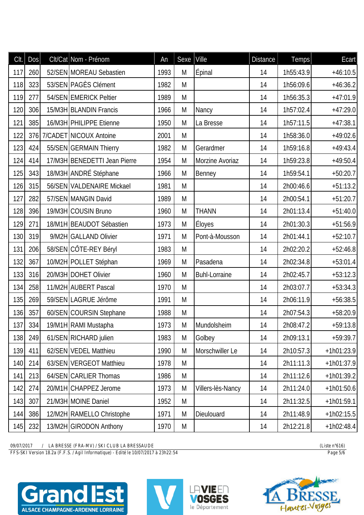| Clt. | DOS | Clt/Cat Nom - Prénom         | <b>An</b> | Sexe | Ville                | <b>Distance</b> | Temps     | Ecart        |
|------|-----|------------------------------|-----------|------|----------------------|-----------------|-----------|--------------|
| 117  | 260 | 52/SEN MOREAU Sebastien      | 1993      | M    | Épinal               | 14              | 1h55:43.9 | $+46:10.5$   |
| 118  | 323 | 53/SEN PAGÈS Clément         | 1982      | M    |                      | 14              | 1h56:09.6 | $+46:36.2$   |
| 119  | 277 | 54/SEN EMERICK Peltier       | 1989      | M    |                      | 14              | 1h56:35.3 | $+47:01.9$   |
| 120  | 306 | 15/M3H BLANDIN Francis       | 1966      | M    | Nancy                | 14              | 1h57:02.4 | $+47:29.0$   |
| 121  | 385 | 16/M3H PHILIPPE Etienne      | 1950      | M    | La Bresse            | 14              | 1h57:11.5 | $+47:38.1$   |
| 122  |     | 376 7/CADET NICOUX Antoine   | 2001      | M    |                      | 14              | 1h58:36.0 | $+49:02.6$   |
| 123  | 424 | 55/SEN GERMAIN Thierry       | 1982      | M    | Gerardmer            | 14              | 1h59:16.8 | $+49:43.4$   |
| 124  | 414 | 17/M3H BENEDETTI Jean Pierre | 1954      | M    | Morzine Avoriaz      | 14              | 1h59:23.8 | $+49:50.4$   |
| 125  | 343 | 18/M3H ANDRÉ Stéphane        | 1966      | M    | Benney               | 14              | 1h59:54.1 | $+50:20.7$   |
| 126  | 315 | 56/SEN VALDENAIRE Mickael    | 1981      | M    |                      | 14              | 2h00:46.6 | $+51:13.2$   |
| 127  | 282 | 57/SEN MANGIN David          | 1989      | M    |                      | 14              | 2h00:54.1 | $+51:20.7$   |
| 128  | 396 | 19/M3H COUSIN Bruno          | 1960      | M    | <b>THANN</b>         | 14              | 2h01:13.4 | $+51:40.0$   |
| 129  | 271 | 18/M1H BEAUDOT Sébastien     | 1973      | M    | <b>Éloyes</b>        | 14              | 2h01:30.3 | $+51:56.9$   |
| 130  | 319 | 9/M2H GALLAND Olivier        | 1971      | M    | Pont-à-Mousson       | 14              | 2h01:44.1 | $+52:10.7$   |
| 131  | 206 | 58/SEN CÔTE-REY Béryl        | 1983      | M    |                      | 14              | 2h02:20.2 | $+52:46.8$   |
| 132  | 367 | 10/M2H POLLET Stéphan        | 1969      | M    | Pasadena             | 14              | 2h02:34.8 | $+53:01.4$   |
| 133  | 316 | 20/M3H DOHET Olivier         | 1960      | M    | <b>Buhl-Lorraine</b> | 14              | 2h02:45.7 | $+53:12.3$   |
| 134  | 258 | 11/M2H AUBERT Pascal         | 1970      | M    |                      | 14              | 2h03:07.7 | $+53:34.3$   |
| 135  | 269 | 59/SEN LAGRUE Jérôme         | 1991      | M    |                      | 14              | 2h06:11.9 | $+56:38.5$   |
| 136  | 357 | 60/SEN COURSIN Stephane      | 1988      | M    |                      | 14              | 2h07:54.3 | $+58:20.9$   |
| 137  | 334 | 19/M1H RAMI Mustapha         | 1973      | M    | Mundolsheim          | 14              | 2h08:47.2 | $+59:13.8$   |
| 138  | 249 | 61/SEN RICHARD julien        | 1983      | M    | Golbey               | 14              | 2h09:13.1 | $+59:39.7$   |
| 139  | 411 | 62/SEN VEDEL Matthieu        | 1990      | M    | Morschwiller Le      | 14              | 2h10:57.3 | $+1h01:23.9$ |
| 140  | 214 | 63/SEN VERGEOT Matthieu      | 1978      | M    |                      | 14              | 2h11:11.3 | $+1h01:37.9$ |
| 141  | 213 | 64/SEN CARLIER Thomas        | 1986      | M    |                      | 14              | 2h11:12.6 | $+1h01:39.2$ |
| 142  | 274 | 20/M1H CHAPPEZ Jerome        | 1973      | M    | Villers-lès-Nancy    | 14              | 2h11:24.0 | $+1h01:50.6$ |
| 143  | 307 | 21/M3H MOINE Daniel          | 1952      | M    |                      | 14              | 2h11:32.5 | $+1h01:59.1$ |
| 144  | 386 | 12/M2H RAMELLO Christophe    | 1971      | M    | Dieulouard           | 14              | 2h11:48.9 | $+1h02:15.5$ |
| 145  | 232 | 13/M2H GIRODON Anthony       | 1970      | M    |                      | 14              | 2h12:21.8 | $+1h02:48.4$ |

*FFS-SKI Version 18.2a (F.F.S. / Agil Informatique) - Edité le 10/07/2017 à 23h22:54 Page 5/6*